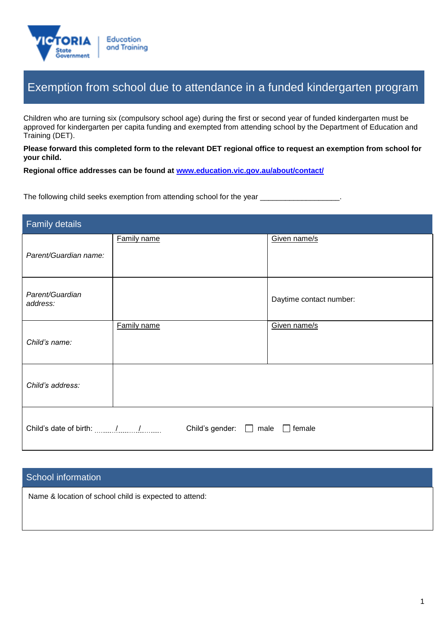

# Exemption from school due to attendance in a funded kindergarten program

Children who are turning six (compulsory school age) during the first or second year of funded kindergarten must be approved for kindergarten per capita funding and exempted from attending school by the Department of Education and Training (DET).

#### **Please forward this completed form to the relevant DET regional office to request an exemption from school for your child.**

**Regional office addresses can be found at [www.education.vic.gov.au/about/contact/](http://www.education.vic.gov.au/about/contact/)**

The following child seeks exemption from attending school for the year \_\_\_\_\_\_\_\_\_

| <b>Family details</b>                     |                    |                         |  |  |
|-------------------------------------------|--------------------|-------------------------|--|--|
| Parent/Guardian name:                     | <b>Family name</b> | Given name/s            |  |  |
| Parent/Guardian<br>address:               |                    | Daytime contact number: |  |  |
| Child's name:                             | <b>Family name</b> | Given name/s            |  |  |
| Child's address:                          |                    |                         |  |  |
| Child's gender: $\Box$ male $\Box$ female |                    |                         |  |  |

### School information

Name & location of school child is expected to attend: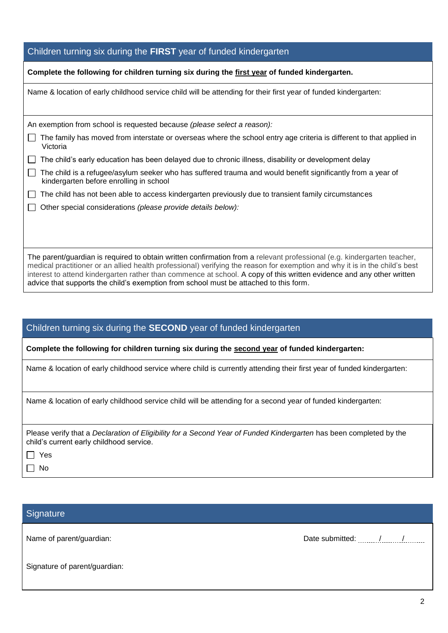| Children turning six during the FIRST year of funded kindergarten                                                                                                                                                                                                                                                                                                                                                                                                        |  |  |  |  |
|--------------------------------------------------------------------------------------------------------------------------------------------------------------------------------------------------------------------------------------------------------------------------------------------------------------------------------------------------------------------------------------------------------------------------------------------------------------------------|--|--|--|--|
| Complete the following for children turning six during the first year of funded kindergarten.                                                                                                                                                                                                                                                                                                                                                                            |  |  |  |  |
| Name & location of early childhood service child will be attending for their first year of funded kindergarten:                                                                                                                                                                                                                                                                                                                                                          |  |  |  |  |
| An exemption from school is requested because (please select a reason):                                                                                                                                                                                                                                                                                                                                                                                                  |  |  |  |  |
| The family has moved from interstate or overseas where the school entry age criteria is different to that applied in<br>Victoria                                                                                                                                                                                                                                                                                                                                         |  |  |  |  |
| The child's early education has been delayed due to chronic illness, disability or development delay                                                                                                                                                                                                                                                                                                                                                                     |  |  |  |  |
| The child is a refugee/asylum seeker who has suffered trauma and would benefit significantly from a year of<br>kindergarten before enrolling in school                                                                                                                                                                                                                                                                                                                   |  |  |  |  |
| The child has not been able to access kindergarten previously due to transient family circumstances                                                                                                                                                                                                                                                                                                                                                                      |  |  |  |  |
| Other special considerations (please provide details below):                                                                                                                                                                                                                                                                                                                                                                                                             |  |  |  |  |
|                                                                                                                                                                                                                                                                                                                                                                                                                                                                          |  |  |  |  |
| The parent/guardian is required to obtain written confirmation from a relevant professional (e.g. kindergarten teacher,<br>medical practitioner or an allied health professional) verifying the reason for exemption and why it is in the child's best<br>interest to attend kindergarten rather than commence at school. A copy of this written evidence and any other written<br>advice that supports the child's exemption from school must be attached to this form. |  |  |  |  |

## Children turning six during the **SECOND** year of funded kindergarten

**Complete the following for children turning six during the second year of funded kindergarten:**

Name & location of early childhood service where child is currently attending their first year of funded kindergarten:

Name & location of early childhood service child will be attending for a second year of funded kindergarten:

Please verify that a *Declaration of Eligibility for a Second Year of Funded Kindergarten* has been completed by the child's current early childhood service.

□ Yes

 $\Box$  No

### **Signature**

Name of parent/guardian:

Date submitted: / /

| Signature of parent/guardian: |  |  |
|-------------------------------|--|--|
|-------------------------------|--|--|